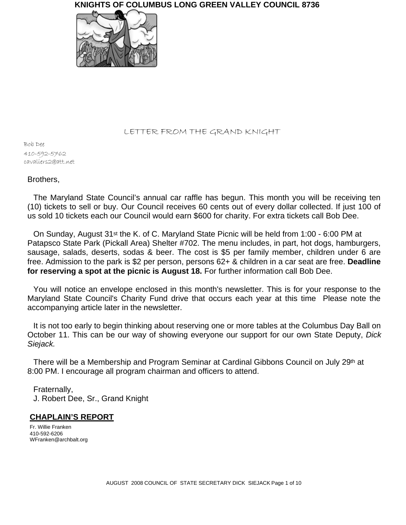

#### LETTER FROM THE GRAND KNIGHT

Bob Dee 410-592-5762 cavaliers2@att.net

## Brothers,

The Maryland State Council's annual car raffle has begun. This month you will be receiving ten (10) tickets to sell or buy. Our Council receives 60 cents out of every dollar collected. If just 100 of us sold 10 tickets each our Council would earn \$600 for charity. For extra tickets call Bob Dee.

On Sunday, August 31st the K. of C. Maryland State Picnic will be held from 1:00 - 6:00 PM at Patapsco State Park (Pickall Area) Shelter #702. The menu includes, in part, hot dogs, hamburgers, sausage, salads, deserts, sodas & beer. The cost is \$5 per family member, children under 6 are free. Admission to the park is \$2 per person, persons 62+ & children in a car seat are free. **Deadline for reserving a spot at the picnic is August 18.** For further information call Bob Dee.

You will notice an envelope enclosed in this month's newsletter. This is for your response to the Maryland State Council's Charity Fund drive that occurs each year at this time Please note the accompanying article later in the newsletter.

It is not too early to begin thinking about reserving one or more tables at the Columbus Day Ball on October 11. This can be our way of showing everyone our support for our own State Deputy, *Dick Siejack.*

There will be a Membership and Program Seminar at Cardinal Gibbons Council on July 29th at 8:00 PM. I encourage all program chairman and officers to attend.

Fraternally, J. Robert Dee, Sr., Grand Knight

## **CHAPLAIN'S REPORT**

Fr. Willie Franken 410-592-6206 WFranken@archbalt.org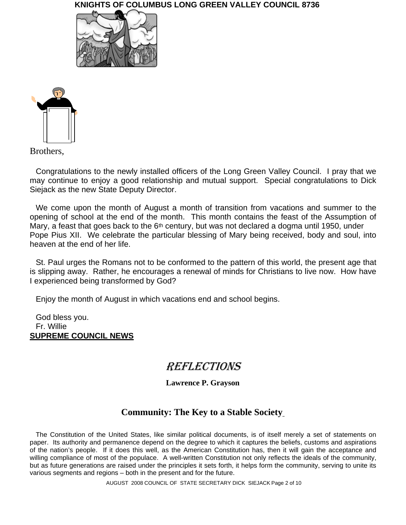



Brothers,

Congratulations to the newly installed officers of the Long Green Valley Council. I pray that we may continue to enjoy a good relationship and mutual support. Special congratulations to Dick Siejack as the new State Deputy Director.

We come upon the month of August a month of transition from vacations and summer to the opening of school at the end of the month. This month contains the feast of the Assumption of Mary, a feast that goes back to the 6<sup>th</sup> century, but was not declared a dogma until 1950, under Pope Pius XII. We celebrate the particular blessing of Mary being received, body and soul, into heaven at the end of her life.

St. Paul urges the Romans not to be conformed to the pattern of this world, the present age that is slipping away. Rather, he encourages a renewal of minds for Christians to live now. How have I experienced being transformed by God?

Enjoy the month of August in which vacations end and school begins.

God bless you. Fr. Willie **SUPREME COUNCIL NEWS**

# REFLECTIONS

**Lawrence P. Grayson**

## **Community: The Key to a Stable Society**

The Constitution of the United States, like similar political documents, is of itself merely a set of statements on paper. Its authority and permanence depend on the degree to which it captures the beliefs, customs and aspirations of the nation's people. If it does this well, as the American Constitution has, then it will gain the acceptance and willing compliance of most of the populace. A well-written Constitution not only reflects the ideals of the community, but as future generations are raised under the principles it sets forth, it helps form the community, serving to unite its various segments and regions – both in the present and for the future.

AUGUST 2008 COUNCIL OF STATE SECRETARY DICK SIEJACK Page 2 of 10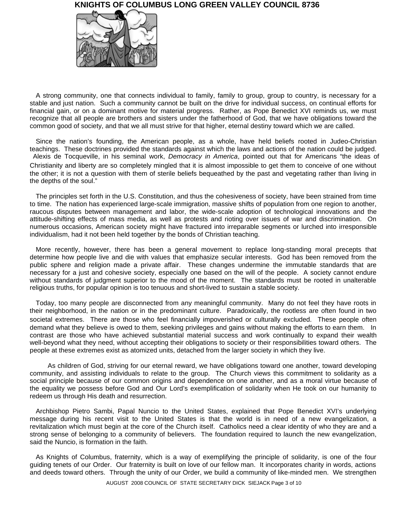

A strong community, one that connects individual to family, family to group, group to country, is necessary for a stable and just nation. Such a community cannot be built on the drive for individual success, on continual efforts for financial gain, or on a dominant motive for material progress. Rather, as Pope Benedict XVI reminds us, we must recognize that all people are brothers and sisters under the fatherhood of God, that we have obligations toward the common good of society, and that we all must strive for that higher, eternal destiny toward which we are called.

Since the nation's founding, the American people, as a whole, have held beliefs rooted in Judeo-Christian teachings. These doctrines provided the standards against which the laws and actions of the nation could be judged. Alexis de Tocqueville, in his seminal work, *Democracy in America*, pointed out that for Americans "the ideas of Christianity and liberty are so completely mingled that it is almost impossible to get them to conceive of one without the other; it is not a question with them of sterile beliefs bequeathed by the past and vegetating rather than living in the depths of the soul."

The principles set forth in the U.S. Constitution, and thus the cohesiveness of society, have been strained from time to time. The nation has experienced large-scale immigration, massive shifts of population from one region to another, raucous disputes between management and labor, the wide-scale adoption of technological innovations and the attitude-shifting effects of mass media, as well as protests and rioting over issues of war and discrimination. On numerous occasions, American society might have fractured into irreparable segments or lurched into irresponsible individualism, had it not been held together by the bonds of Christian teaching.

More recently, however, there has been a general movement to replace long-standing moral precepts that determine how people live and die with values that emphasize secular interests. God has been removed from the public sphere and religion made a private affair. These changes undermine the immutable standards that are necessary for a just and cohesive society, especially one based on the will of the people. A society cannot endure without standards of judgment superior to the mood of the moment. The standards must be rooted in unalterable religious truths, for popular opinion is too tenuous and short-lived to sustain a stable society.

Today, too many people are disconnected from any meaningful community. Many do not feel they have roots in their neighborhood, in the nation or in the predominant culture. Paradoxically, the rootless are often found in two societal extremes. There are those who feel financially impoverished or culturally excluded. These people often demand what they believe is owed to them, seeking privileges and gains without making the efforts to earn them. In contrast are those who have achieved substantial material success and work continually to expand their wealth well-beyond what they need, without accepting their obligations to society or their responsibilities toward others. The people at these extremes exist as atomized units, detached from the larger society in which they live.

As children of God, striving for our eternal reward, we have obligations toward one another, toward developing community, and assisting individuals to relate to the group. The Church views this commitment to solidarity as a social principle because of our common origins and dependence on one another, and as a moral virtue because of the equality we possess before God and Our Lord's exemplification of solidarity when He took on our humanity to redeem us through His death and resurrection.

Archbishop Pietro Sambi, Papal Nuncio to the United States, explained that Pope Benedict XVI's underlying message during his recent visit to the United States is that the world is in need of a new evangelization, a revitalization which must begin at the core of the Church itself. Catholics need a clear identity of who they are and a strong sense of belonging to a community of believers. The foundation required to launch the new evangelization, said the Nuncio, is formation in the faith.

As Knights of Columbus, fraternity, which is a way of exemplifying the principle of solidarity, is one of the four guiding tenets of our Order. Our fraternity is built on love of our fellow man. It incorporates charity in words, actions and deeds toward others. Through the unity of our Order, we build a community of like-minded men. We strengthen

AUGUST 2008 COUNCIL OF STATE SECRETARY DICK SIEJACK Page 3 of 10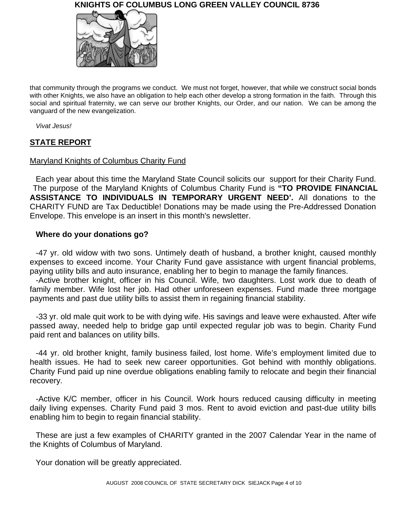

that community through the programs we conduct. We must not forget, however, that while we construct social bonds with other Knights, we also have an obligation to help each other develop a strong formation in the faith. Through this social and spiritual fraternity, we can serve our brother Knights, our Order, and our nation. We can be among the vanguard of the new evangelization.

*Vivat Jesus!*

## **STATE REPORT**

## Maryland Knights of Columbus Charity Fund

Each year about this time the Maryland State Council solicits our support for their Charity Fund. The purpose of the Maryland Knights of Columbus Charity Fund is **"TO PROVIDE FINANCIAL ASSISTANCE TO INDIVIDUALS IN TEMPORARY URGENT NEED'.** All donations to the CHARITY FUND are Tax Deductible! Donations may be made using the Pre-Addressed Donation Envelope. This envelope is an insert in this month's newsletter.

## **Where do your donations go?**

-47 yr. old widow with two sons. Untimely death of husband, a brother knight, caused monthly expenses to exceed income. Your Charity Fund gave assistance with urgent financial problems, paying utility bills and auto insurance, enabling her to begin to manage the family finances.

-Active brother knight, officer in his Council. Wife, two daughters. Lost work due to death of family member. Wife lost her job. Had other unforeseen expenses. Fund made three mortgage payments and past due utility bills to assist them in regaining financial stability.

-33 yr. old male quit work to be with dying wife. His savings and leave were exhausted. After wife passed away, needed help to bridge gap until expected regular job was to begin. Charity Fund paid rent and balances on utility bills.

-44 yr. old brother knight, family business failed, lost home. Wife's employment limited due to health issues. He had to seek new career opportunities. Got behind with monthly obligations. Charity Fund paid up nine overdue obligations enabling family to relocate and begin their financial recovery.

-Active K/C member, officer in his Council. Work hours reduced causing difficulty in meeting daily living expenses. Charity Fund paid 3 mos. Rent to avoid eviction and past-due utility bills enabling him to begin to regain financial stability.

These are just a few examples of CHARITY granted in the 2007 Calendar Year in the name of the Knights of Columbus of Maryland.

Your donation will be greatly appreciated.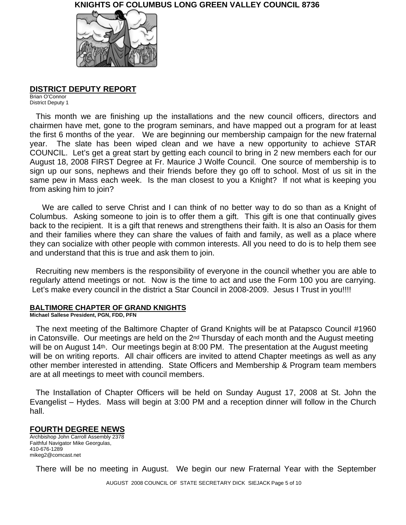

#### **DISTRICT DEPUTY REPORT**

Brian O'Connor District Deputy 1

This month we are finishing up the installations and the new council officers, directors and chairmen have met, gone to the program seminars, and have mapped out a program for at least the first 6 months of the year. We are beginning our membership campaign for the new fraternal year. The slate has been wiped clean and we have a new opportunity to achieve STAR COUNCIL. Let's get a great start by getting each council to bring in 2 new members each for our August 18, 2008 FIRST Degree at Fr. Maurice J Wolfe Council. One source of membership is to sign up our sons, nephews and their friends before they go off to school. Most of us sit in the same pew in Mass each week. Is the man closest to you a Knight? If not what is keeping you from asking him to join?

 We are called to serve Christ and I can think of no better way to do so than as a Knight of Columbus. Asking someone to join is to offer them a gift. This gift is one that continually gives back to the recipient. It is a gift that renews and strengthens their faith. It is also an Oasis for them and their families where they can share the values of faith and family, as well as a place where they can socialize with other people with common interests. All you need to do is to help them see and understand that this is true and ask them to join.

Recruiting new members is the responsibility of everyone in the council whether you are able to regularly attend meetings or not. Now is the time to act and use the Form 100 you are carrying. Let's make every council in the district a Star Council in 2008-2009. Jesus I Trust in you!!!!

#### **BALTIMORE CHAPTER OF GRAND KNIGHTS**

**Michael Sallese President, PGN, FDD, PFN**

The next meeting of the Baltimore Chapter of Grand Knights will be at Patapsco Council #1960 in Catonsville. Our meetings are held on the  $2<sup>nd</sup>$  Thursday of each month and the August meeting will be on August 14<sup>th</sup>. Our meetings begin at 8:00 PM. The presentation at the August meeting will be on writing reports. All chair officers are invited to attend Chapter meetings as well as any other member interested in attending. State Officers and Membership & Program team members are at all meetings to meet with council members.

The Installation of Chapter Officers will be held on Sunday August 17, 2008 at St. John the Evangelist – Hydes. Mass will begin at 3:00 PM and a reception dinner will follow in the Church hall.

#### **FOURTH DEGREE NEWS**

Archbishop John Carroll Assembly 2378 Faithful Navigator Mike Georgulas, 410-676-1289 mikeg2@comcast.net

There will be no meeting in August. We begin our new Fraternal Year with the September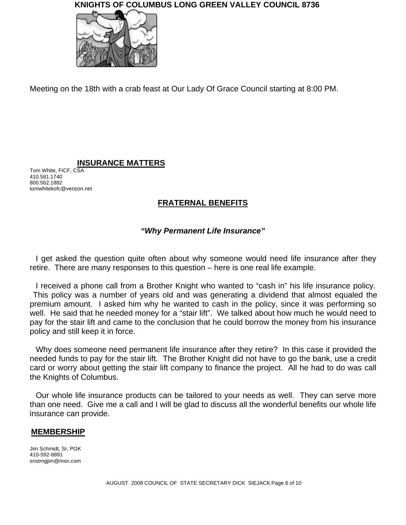

Meeting on the 18th with a crab feast at Our Lady Of Grace Council starting at 8:00 PM.

## **INSURANCE MATTERS**

Tom White, FICF, CSA 410.581.1740 800.562.1882 tomwhitekofc@verizon.net

## **FRATERNAL BENEFITS**

## *"Why Permanent Life Insurance"*

I get asked the question quite often about why someone would need life insurance after they retire. There are many responses to this question – here is one real life example.

I received a phone call from a Brother Knight who wanted to "cash in" his life insurance policy. This policy was a number of years old and was generating a dividend that almost equaled the premium amount. I asked him why he wanted to cash in the policy, since it was performing so well. He said that he needed money for a "stair lift". We talked about how much he would need to pay for the stair lift and came to the conclusion that he could borrow the money from his insurance policy and still keep it in force.

Why does someone need permanent life insurance after they retire? In this case it provided the needed funds to pay for the stair lift. The Brother Knight did not have to go the bank, use a credit card or worry about getting the stair lift company to finance the project. All he had to do was call the Knights of Columbus.

Our whole life insurance products can be tailored to your needs as well. They can serve more than one need. Give me a call and I will be glad to discuss all the wonderful benefits our whole life insurance can provide.

## **MEMBERSHIP**

Jim Schmidt, Sr, PGK 410-592-8891 snstrngjim@msn.com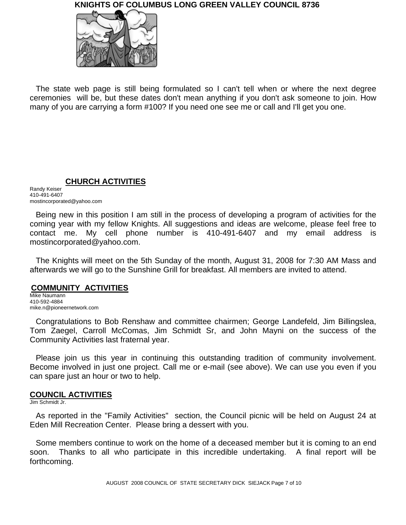

The state web page is still being formulated so I can't tell when or where the next degree ceremonies will be, but these dates don't mean anything if you don't ask someone to join. How many of you are carrying a form #100? If you need one see me or call and I'll get you one.

**CHURCH ACTIVITIES**

Randy Keiser 410-491-6407 mostincorporated@yahoo.com

Being new in this position I am still in the process of developing a program of activities for the coming year with my fellow Knights. All suggestions and ideas are welcome, please feel free to contact me. My cell phone number is 410-491-6407 and my email address is mostincorporated@yahoo.com.

The Knights will meet on the 5th Sunday of the month, August 31, 2008 for 7:30 AM Mass and afterwards we will go to the Sunshine Grill for breakfast. All members are invited to attend.

## **COMMUNITY ACTIVITIES**

Mike Naumann 410-592-4884 mike.n@pioneernetwork.com

Congratulations to Bob Renshaw and committee chairmen; George Landefeld, Jim Billingslea, Tom Zaegel, Carroll McComas, Jim Schmidt Sr, and John Mayni on the success of the Community Activities last fraternal year.

Please join us this year in continuing this outstanding tradition of community involvement. Become involved in just one project. Call me or e-mail (see above). We can use you even if you can spare just an hour or two to help.

## **COUNCIL ACTIVITIES**

Jim Schmidt Jr.

As reported in the "Family Activities" section, the Council picnic will be held on August 24 at Eden Mill Recreation Center. Please bring a dessert with you.

Some members continue to work on the home of a deceased member but it is coming to an end soon. Thanks to all who participate in this incredible undertaking. A final report will be forthcoming.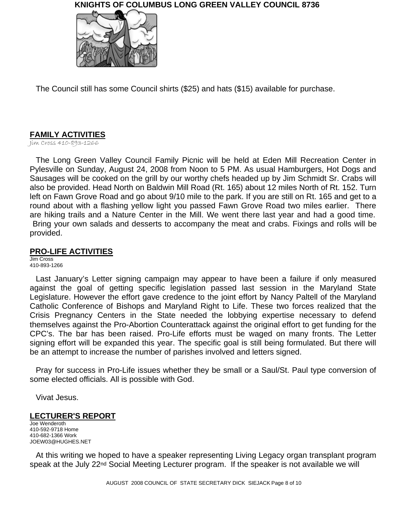

The Council still has some Council shirts (\$25) and hats (\$15) available for purchase.

## **FAMILY ACTIVITIES**

Jim Cross 410-893-1266

The Long Green Valley Council Family Picnic will be held at Eden Mill Recreation Center in Pylesville on Sunday, August 24, 2008 from Noon to 5 PM. As usual Hamburgers, Hot Dogs and Sausages will be cooked on the grill by our worthy chefs headed up by Jim Schmidt Sr. Crabs will also be provided. Head North on Baldwin Mill Road (Rt. 165) about 12 miles North of Rt. 152. Turn left on Fawn Grove Road and go about 9/10 mile to the park. If you are still on Rt. 165 and get to a round about with a flashing yellow light you passed Fawn Grove Road two miles earlier. There are hiking trails and a Nature Center in the Mill. We went there last year and had a good time. Bring your own salads and desserts to accompany the meat and crabs. Fixings and rolls will be provided.

## **PRO-LIFE ACTIVITIES**

Jim Cross 410-893-1266

Last January's Letter signing campaign may appear to have been a failure if only measured against the goal of getting specific legislation passed last session in the Maryland State Legislature. However the effort gave credence to the joint effort by Nancy Paltell of the Maryland Catholic Conference of Bishops and Maryland Right to Life. These two forces realized that the Crisis Pregnancy Centers in the State needed the lobbying expertise necessary to defend themselves against the Pro-Abortion Counterattack against the original effort to get funding for the CPC's. The bar has been raised. Pro-Life efforts must be waged on many fronts. The Letter signing effort will be expanded this year. The specific goal is still being formulated. But there will be an attempt to increase the number of parishes involved and letters signed.

Pray for success in Pro-Life issues whether they be small or a Saul/St. Paul type conversion of some elected officials. All is possible with God.

Vivat Jesus.

## **LECTURER'S REPORT**

Joe Wenderoth 410-592-9718 Home 410-682-1366 Work JOEW03@HUGHES.NET

At this writing we hoped to have a speaker representing Living Legacy organ transplant program speak at the July 22<sup>nd</sup> Social Meeting Lecturer program. If the speaker is not available we will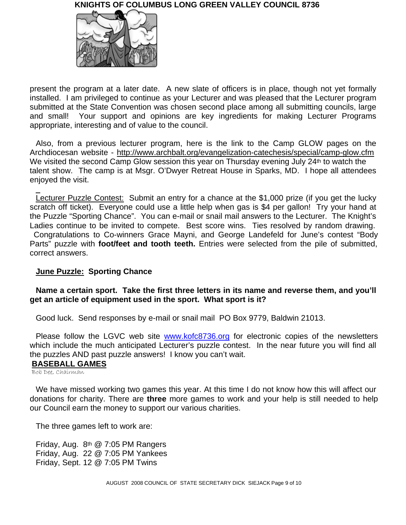

present the program at a later date. A new slate of officers is in place, though not yet formally installed. I am privileged to continue as your Lecturer and was pleased that the Lecturer program submitted at the State Convention was chosen second place among all submitting councils, large and small! Your support and opinions are key ingredients for making Lecturer Programs appropriate, interesting and of value to the council.

Also, from a previous lecturer program, here is the link to the Camp GLOW pages on the Archdiocesan website - http://www.archbalt.org/evangelization-catechesis/special/camp-glow.cfm We visited the second Camp Glow session this year on Thursday evening July 24th to watch the talent show. The camp is at Msgr. O'Dwyer Retreat House in Sparks, MD. I hope all attendees enjoyed the visit.

Lecturer Puzzle Contest: Submit an entry for a chance at the \$1,000 prize (if you get the lucky scratch off ticket). Everyone could use a little help when gas is \$4 per gallon! Try your hand at the Puzzle "Sporting Chance". You can e-mail or snail mail answers to the Lecturer. The Knight's Ladies continue to be invited to compete. Best score wins. Ties resolved by random drawing. Congratulations to Co-winners Grace Mayni, and George Landefeld for June's contest "Body Parts" puzzle with **foot/feet and tooth teeth.** Entries were selected from the pile of submitted, correct answers.

## **June Puzzle: Sporting Chance**

## **Name a certain sport. Take the first three letters in its name and reverse them, and you'll get an article of equipment used in the sport. What sport is it?**

Good luck. Send responses by e-mail or snail mail PO Box 9779, Baldwin 21013.

Please follow the LGVC web site www.kofc8736.org for electronic copies of the newsletters which include the much anticipated Lecturer's puzzle contest. In the near future you will find all the puzzles AND past puzzle answers! I know you can't wait.

## **BASEBALL GAMES**

Bob Dee, Chairman

 $\overline{a}$ 

We have missed working two games this year. At this time I do not know how this will affect our donations for charity. There are **three** more games to work and your help is still needed to help our Council earn the money to support our various charities.

The three games left to work are:

Friday, Aug. 8th @ 7:05 PM Rangers Friday, Aug. 22 @ 7:05 PM Yankees Friday, Sept. 12 @ 7:05 PM Twins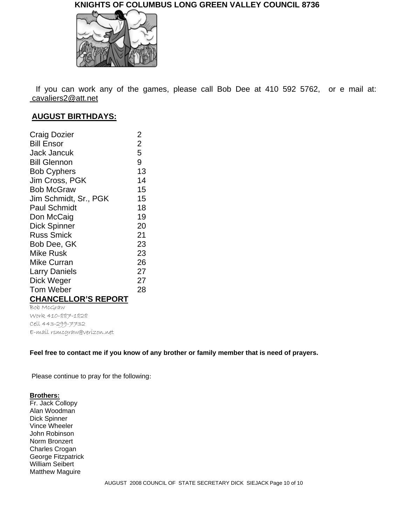

If you can work any of the games, please call Bob Dee at 410 592 5762, or e mail at: cavaliers2@att.net

## **AUGUST BIRTHDAYS:**

| Craig Dozier               | $\overline{2}$ |
|----------------------------|----------------|
| Bill Ensor                 | $\overline{2}$ |
| Jack Jancuk                | 5              |
| <b>Bill Glennon</b>        | 9              |
| <b>Bob Cyphers</b>         | 13             |
| Jim Cross, PGK             | 14             |
| <b>Bob McGraw</b>          | 15             |
| Jim Schmidt, Sr., PGK      | 15             |
| <b>Paul Schmidt</b>        | 18             |
| Don McCaig                 | 19             |
| <b>Dick Spinner</b>        | 20             |
| <b>Russ Smick</b>          | 21             |
| Bob Dee, GK                | 23             |
| Mike Rusk                  | 23             |
| Mike Curran                | 26             |
| Larry Daniels              | 27             |
| Dick Weger                 | 27             |
| Tom Weber                  | 28             |
| <b>CHANCELLOR'S REPORT</b> |                |
|                            |                |

Bob McGraw Work 410-887-1828 Cell 443-299-7732 E-mail rsmcgraw@verizon.net

#### **Feel free to contact me if you know of any brother or family member that is need of prayers.**

Please continue to pray for the following:

#### **Brothers:**

Fr. Jack Collopy Alan Woodman Dick Spinner Vince Wheeler John Robinson Norm Bronzert Charles Crogan George Fitzpatrick William Seibert Matthew Maguire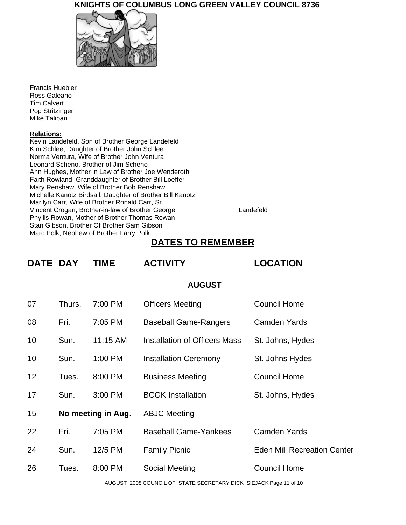

Francis Huebler Ross Galeano Tim Calvert Pop Stritzinger Mike Talipan

#### **Relations:**

Kevin Landefeld, Son of Brother George Landefeld Kim Schlee, Daughter of Brother John Schlee Norma Ventura, Wife of Brother John Ventura Leonard Scheno, Brother of Jim Scheno Ann Hughes, Mother in Law of Brother Joe Wenderoth Faith Rowland, Granddaughter of Brother Bill Loeffer Mary Renshaw, Wife of Brother Bob Renshaw Michelle Kanotz Birdsall, Daughter of Brother Bill Kanotz Marilyn Carr, Wife of Brother Ronald Carr, Sr. Vincent Crogan, Brother-in-law of Brother George Landefeld Phyllis Rowan, Mother of Brother Thomas Rowan Stan Gibson, Brother Of Brother Sam Gibson Marc Polk, Nephew of Brother Larry Polk.

## **DATES TO REMEMBER**

| <b>DATE DAY</b> |                    | <b>TIME</b> | <b>ACTIVITY</b>                      | <b>LOCATION</b>                    |
|-----------------|--------------------|-------------|--------------------------------------|------------------------------------|
| <b>AUGUST</b>   |                    |             |                                      |                                    |
| 07              | Thurs.             | 7:00 PM     | <b>Officers Meeting</b>              | <b>Council Home</b>                |
| 08              | Fri.               | 7:05 PM     | <b>Baseball Game-Rangers</b>         | <b>Camden Yards</b>                |
| 10              | Sun.               | 11:15 AM    | <b>Installation of Officers Mass</b> | St. Johns, Hydes                   |
| 10              | Sun.               | 1:00 PM     | <b>Installation Ceremony</b>         | St. Johns Hydes                    |
| 12              | Tues.              | 8:00 PM     | <b>Business Meeting</b>              | <b>Council Home</b>                |
| 17              | Sun.               | 3:00 PM     | <b>BCGK Installation</b>             | St. Johns, Hydes                   |
| 15              | No meeting in Aug. |             | <b>ABJC Meeting</b>                  |                                    |
| 22              | Fri.               | 7:05 PM     | <b>Baseball Game-Yankees</b>         | <b>Camden Yards</b>                |
| 24              | Sun.               | 12/5 PM     | <b>Family Picnic</b>                 | <b>Eden Mill Recreation Center</b> |
| 26              | Tues.              | 8:00 PM     | Social Meeting                       | <b>Council Home</b>                |
|                 |                    |             |                                      |                                    |

AUGUST 2008 COUNCIL OF STATE SECRETARY DICK SIEJACK Page 11 of 10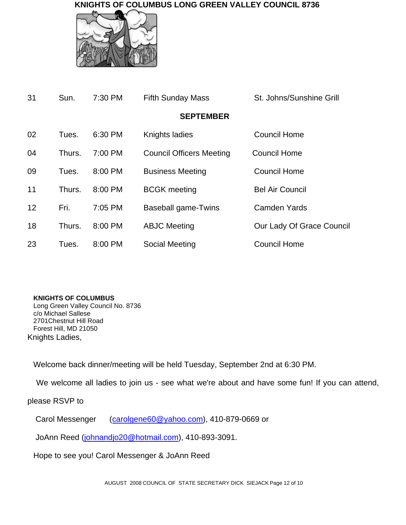

| 31 | Sun.   | 7:30 PM   | <b>Fifth Sunday Mass</b>        | St. Johns/Sunshine Grill  |
|----|--------|-----------|---------------------------------|---------------------------|
|    |        |           | <b>SEPTEMBER</b>                |                           |
| 02 | Tues.  | 6:30 PM   | Knights ladies                  | Council Home              |
| 04 | Thurs. | 7:00 PM   | <b>Council Officers Meeting</b> | <b>Council Home</b>       |
| 09 | Tues.  | 8:00 PM   | <b>Business Meeting</b>         | <b>Council Home</b>       |
| 11 | Thurs. | 8:00 PM   | <b>BCGK</b> meeting             | <b>Bel Air Council</b>    |
| 12 | Fri.   | $7:05$ PM | Baseball game-Twins             | <b>Camden Yards</b>       |
| 18 | Thurs. | 8:00 PM   | <b>ABJC Meeting</b>             | Our Lady Of Grace Council |
| 23 | Tues.  | 8:00 PM   | Social Meeting                  | <b>Council Home</b>       |

## **KNIGHTS OF COLUMBUS**

Long Green Valley Council No. 8736 c/o Michael Sallese 2701Chestnut Hill Road Forest Hill, MD 21050 Knights Ladies,

Welcome back dinner/meeting will be held Tuesday, September 2nd at 6:30 PM.

We welcome all ladies to join us - see what we're about and have some fun! If you can attend,

## please RSVP to

Carol Messenger (carolgene60@yahoo.com), 410-879-0669 or

JoAnn Reed (johnandjo20@hotmail.com), 410-893-3091.

Hope to see you! Carol Messenger & JoAnn Reed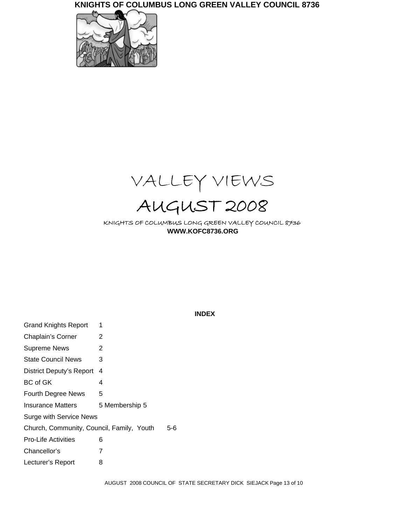



KNIGHTS OF COLUMBUS LONG GREEN VALLEY COUNCIL 8736 **WWW.KOFC8736.ORG**

**INDEX**

| <b>Grand Knights Report</b>               | 1              |  |  |  |
|-------------------------------------------|----------------|--|--|--|
| Chaplain's Corner                         | 2              |  |  |  |
| <b>Supreme News</b>                       | 2              |  |  |  |
| <b>State Council News</b>                 | 3              |  |  |  |
| District Deputy's Report                  | 4              |  |  |  |
| <b>BC</b> of GK                           | 4              |  |  |  |
| <b>Fourth Degree News</b>                 | 5              |  |  |  |
| Insurance Matters                         | 5 Membership 5 |  |  |  |
| <b>Surge with Service News</b>            |                |  |  |  |
| Church, Community, Council, Family, Youth | 5-6            |  |  |  |
| <b>Pro-Life Activities</b>                | 6              |  |  |  |
| Chancellor's                              | 7              |  |  |  |
| Lecturer's Report                         | 8              |  |  |  |
|                                           |                |  |  |  |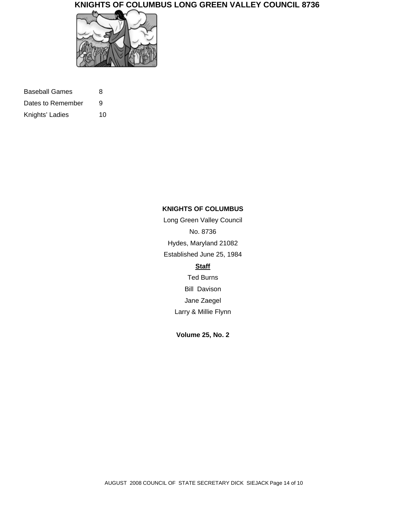

| Baseball Games    | 8  |
|-------------------|----|
| Dates to Remember | 9  |
| Knights' Ladies   | 10 |

#### **KNIGHTS OF COLUMBUS**

Long Green Valley Council No. 8736 Hydes, Maryland 21082 Established June 25, 1984 **Staff** Ted Burns Bill Davison Jane Zaegel Larry & Millie Flynn

**Volume 25, No. 2**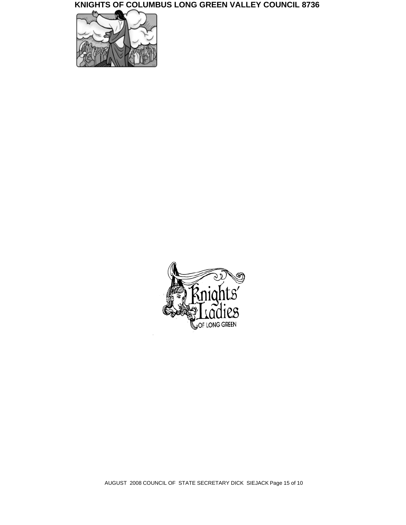



AUGUST 2008 COUNCIL OF STATE SECRETARY DICK SIEJACK Page 15 of 10